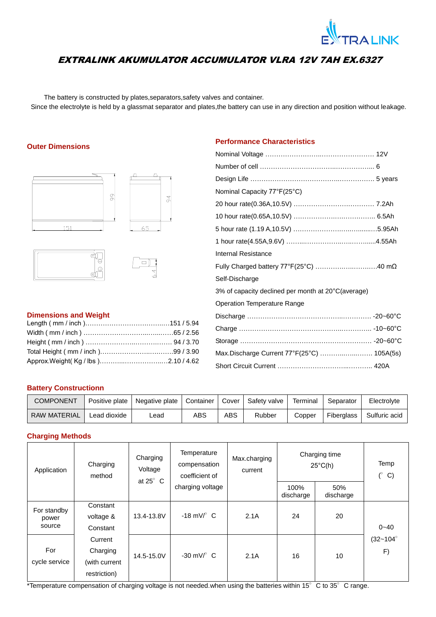

# EXTRALINK AKUMULATOR ACCUMULATOR VLRA 12V 7AH EX.6327

The battery is constructed by plates,separators,safety valves and container. Since the electrolyte is held by a glassmat separator and plates,the battery can use in any direction and position without leakage.

## **Outer Dimensions**







## **Dimensions and Weight**

# **Performance Characteristics**

| Nominal Capacity 77°F(25°C)                        |  |
|----------------------------------------------------|--|
|                                                    |  |
|                                                    |  |
|                                                    |  |
|                                                    |  |
| <b>Internal Resistance</b>                         |  |
| Fully Charged battery 77°F(25°C) 40 mΩ             |  |
| Self-Discharge                                     |  |
| 3% of capacity declined per month at 20°C(average) |  |
| <b>Operation Temperature Range</b>                 |  |
|                                                    |  |
|                                                    |  |
|                                                    |  |
| Max.Discharge Current 77°F(25°C)  105A(5s)         |  |
|                                                    |  |
|                                                    |  |

## **Battery Constructionn**

| COMPONENT           | Positive plate | Negative plate   Container |     | Cover I | Safety valve | Terminal | Separator  | Electrolyte   |
|---------------------|----------------|----------------------------|-----|---------|--------------|----------|------------|---------------|
| <b>RAW MATERIAL</b> | Lead dioxide   | _ead                       | ABS | ABS     | Rubber       | Copper   | Fiberglass | Sulfuric acid |

### **Charging Methods**

| Application          | Charging<br>method                                   | Charging<br>Voltage<br>at $25^\circ$ C | Temperature<br>compensation<br>coefficient of | Max.charging<br>current | Charging time<br>$25^{\circ}$ C(h) | Temp<br>$\mathcal{C}$<br>C) |                            |  |
|----------------------|------------------------------------------------------|----------------------------------------|-----------------------------------------------|-------------------------|------------------------------------|-----------------------------|----------------------------|--|
|                      |                                                      |                                        | charging voltage                              |                         | 100%<br>discharge                  | 50%<br>discharge            |                            |  |
| For standby<br>power | Constant<br>voltage &                                | 13.4-13.8V                             | $-18$ mV/ $\degree$ C                         | 2.1A                    | 24                                 | 20                          |                            |  |
| source               | Constant                                             |                                        |                                               |                         |                                    |                             | $0 - 40$                   |  |
| For<br>cycle service | Current<br>Charging<br>(with current<br>restriction) | 14.5-15.0V                             | $-30 \text{ mV}$ C                            | 2.1A                    | 16                                 | 10                          | $(32 - 104^{\circ})$<br>F) |  |

\*Temperature compensation of charging voltage is not needed.when using the batteries within 15°C to 35°C range.